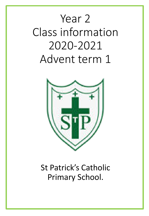# Year 2 Class information 2020-2021 Advent term 1



# St Patrick's Catholic Primary School.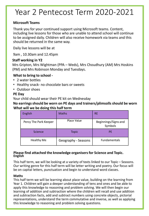# Year 2 Pentecost Term 2020-2021

### **Microsoft Teams**

Thank you for your continued support using Microsoft teams. Content, including live lessons for those who are unable to attend school will continue to be assigned daily. Children will also receive homework via teams and this should be returned in the same way.

Daily live lessons will be at

9am , 10.30am and 12.45pm

### **Staff working in Y2**

Mrs Gripton, Mrs Wightman (PPA – Weds), Mrs Choudhury (AM) Mrs Hoskins (PM) and Mrs Robinson Monday and Tuesdays.

### **What to bring to school -**

- 2 water bottles
- Healthy snack- no chocolate bars or sweets
- Outdoor shoes

### **PE Day**

Your child should wear their PE kit on Wednesday

**What will we be doing this half term No earrings should be worn on PE days and trainers/plimsolls should be worn** 

| English               | <b>Maths</b>        | <b>RE</b>                       |
|-----------------------|---------------------|---------------------------------|
| Percy The Park Keeper | Place Value         | Beginnings/Signs and<br>Symbols |
| Science               | <b>Topic</b>        | <b>PE</b>                       |
| <b>Healthy Me</b>     | Geography - Seasons | <b>Fundamentals</b>             |

#### **Please find attached the knowledge organisers for Science and Topic. English**

This half term, we will be looking at a variety of texts linked to our Topic – Seasons. Our writing genre for this half term will be letter writing and poetry. Our focus will be on capital letters, punctuation and begin to understand word classes.

#### **Maths**

This half term we will be learning about place value, building on the learning from Year 1. Children will gain a deeper understanding of tens and ones and be able to apply this knowledge to reasoning and problem solving. We will then begin our learning of addition and subtraction where the children will recall and use addition and subtraction facts, add and subtract numbers using concrete objects, pictorial representations, understand the term commutative and inverse, as well as applying this knowledge to reasoning and problem solving questions.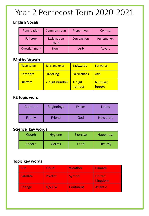# Year 2 Pentecost Term 2020-2021

### **English Vocab**

| Punctuation          | Common noun         | Proper noun | Comma       |  |  |
|----------------------|---------------------|-------------|-------------|--|--|
| <b>Full stop</b>     | Exclamation<br>mark | Conjunction | Punctuation |  |  |
| <b>Question mark</b> | <b>Noun</b>         | Verb        | Adverb      |  |  |

# **Maths Vocab**

| <b>Place value</b> | <b>Tens and ones</b> | <b>Backwards</b>    | <b>Forwards</b>        |
|--------------------|----------------------|---------------------|------------------------|
| Compare            | <b>Ordering</b>      | <b>Calculations</b> | Add                    |
| <b>Subtract</b>    | 2-digit number       | 1-digit<br>number   | <b>Number</b><br>bonds |

## **RE topic word**

| Creation | <b>Beginnings</b> | Psalm | Litany    |
|----------|-------------------|-------|-----------|
| Family   | Friend            | God   | New start |

### **Science key words**

| Cough         | <b>Hygiene</b> | <b>Exercise</b> | Happiness |
|---------------|----------------|-----------------|-----------|
| <b>Sneeze</b> | Germs          | Food            | Healthy   |

### **Topic key words**

| <b>Sun</b>    | Cloud          | Weather          | <b>Climate</b>           |
|---------------|----------------|------------------|--------------------------|
| Satellite     | <b>Predict</b> | <b>Symbol</b>    | <b>United</b><br>Kingdom |
| <b>Change</b> | N, S, E, W     | <b>Continent</b> | <b>Atlantic</b>          |